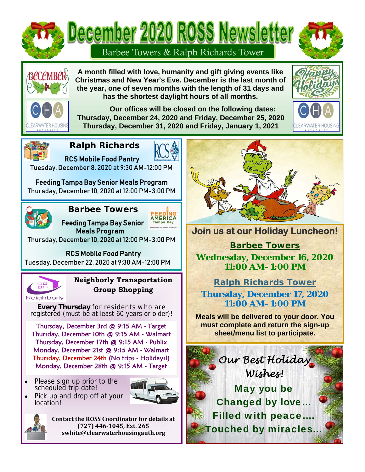

Ī

**A month filled with love, humanity and gift giving events like Christmas and New Year's Eve. December is the last month of the year, one of seven months with the length of 31 days and has the shortest daylight hours of all months.** 



 **Our offices will be closed on the following dates: Thursday, December 24, 2020 and Friday, December 25, 2020 Thursday, December 31, 2020 and Friday, January 1, 2021** 





# **Ralph Richards**



RCS Mobile Food Pantry Tuesday, December 8, 2020 at 9:30 AM-12:00 PM

Feeding Tampa Bay Senior Meals Program Thursday, December 10, 2020 at 12:00 PM-3:00 PM



## **Barbee Towers**  AMERICA

 Feeding Tampa Bay Senior Meals Program

Thursday, December 10, 2020 at 12:00 PM-3:00 PM

## RCS Mobile Food Pantry

Tuesday, December 22, 2020 at 9:30 AM-12:00 PM



## **Neighborly Transportation Group Shopping**

**Every Thursday** for residents who are registered (must be at least 60 years or older)!

Thursday, December 3rd @ 9:15 AM - Target Thursday, December 10th @ 9:15 AM - Walmart Thursday, December 17th @ 9:15 AM - Publix Monday, December 21st @ 9:15 AM - Walmart Thursday, December 24th (No trips - Holidays!) Monday, December 28th @ 9:15 AM - Target

 Please sign up prior to the scheduled trip date!



 Pick up and drop off at your location!

> **Contact the ROSS Coordinator for details at**  $(727)$  446-1045, Ext. 265 **swhite@clearwaterhousingauth.org**



**Join us at our Holiday Luncheon!** 

**Barbee Towers** 

**Wednesday, December 16, 2020 11:00 AM–1:00 PM** 

# **Ralph Richards Tower**

**Thursday, December 17, 2020 11:00 AM–1:00 PM** 

**Meals will be delivered to your door. You must complete and return the sign-up sheet/menu list to participate.**